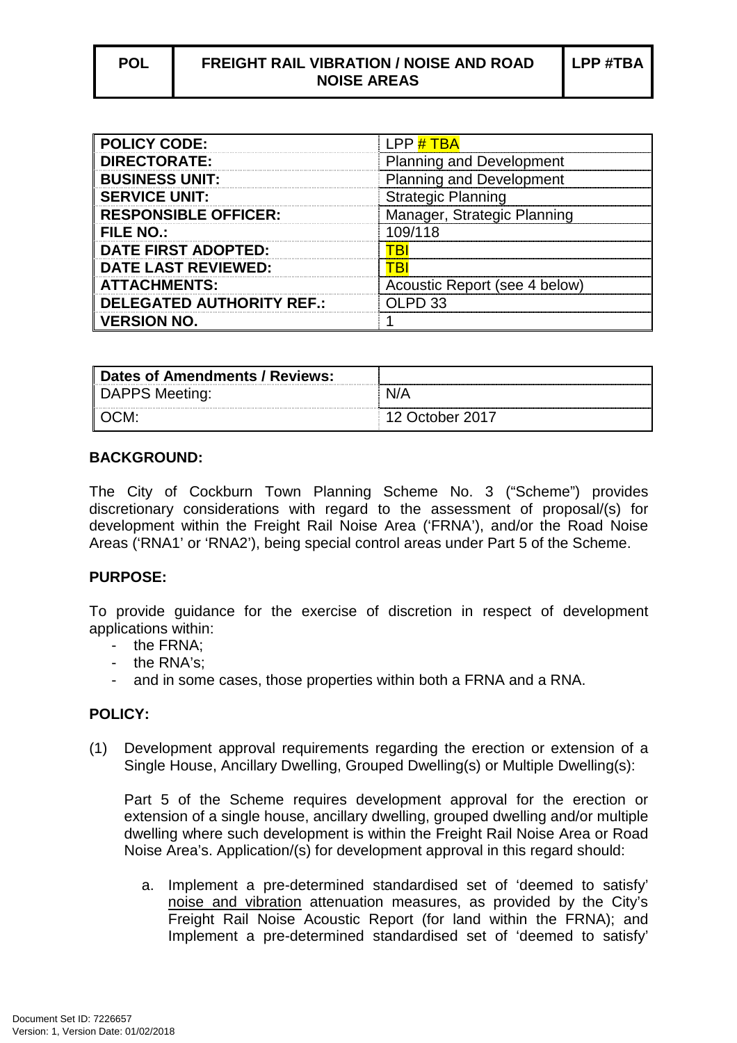| <b>POLICY CODE:</b>              | LPP # TBA                       |
|----------------------------------|---------------------------------|
| <b>DIRECTORATE:</b>              | <b>Planning and Development</b> |
| <b>BUSINESS UNIT:</b>            | <b>Planning and Development</b> |
| <b>SERVICE UNIT:</b>             | <b>Strategic Planning</b>       |
| <b>RESPONSIBLE OFFICER:</b>      | Manager, Strategic Planning     |
| <b>FILE NO.:</b>                 | 109/118                         |
| <b>DATE FIRST ADOPTED:</b>       | ∗B⊵                             |
| <b>DATE LAST REVIEWED:</b>       |                                 |
| <b>ATTACHMENTS:</b>              | Acoustic Report (see 4 below)   |
| <b>DELEGATED AUTHORITY REF.:</b> | $\Omega$ PD 33                  |
| <b>VERSION NO.</b>               |                                 |

| Dates of Amendments / Reviews: |                 |
|--------------------------------|-----------------|
| DAPPS Meeting:                 |                 |
| ∥OCM:                          | 12 October 2017 |

## **BACKGROUND:**

The City of Cockburn Town Planning Scheme No. 3 ("Scheme") provides discretionary considerations with regard to the assessment of proposal/(s) for development within the Freight Rail Noise Area ('FRNA'), and/or the Road Noise Areas ('RNA1' or 'RNA2'), being special control areas under Part 5 of the Scheme.

## **PURPOSE:**

To provide guidance for the exercise of discretion in respect of development applications within:

- the FRNA;
- the RNA's;
- and in some cases, those properties within both a FRNA and a RNA.

## **POLICY:**

(1) Development approval requirements regarding the erection or extension of a Single House, Ancillary Dwelling, Grouped Dwelling(s) or Multiple Dwelling(s):

Part 5 of the Scheme requires development approval for the erection or extension of a single house, ancillary dwelling, grouped dwelling and/or multiple dwelling where such development is within the Freight Rail Noise Area or Road Noise Area's. Application/(s) for development approval in this regard should:

a. Implement a pre-determined standardised set of 'deemed to satisfy' noise and vibration attenuation measures, as provided by the City's Freight Rail Noise Acoustic Report (for land within the FRNA); and Implement a pre-determined standardised set of 'deemed to satisfy'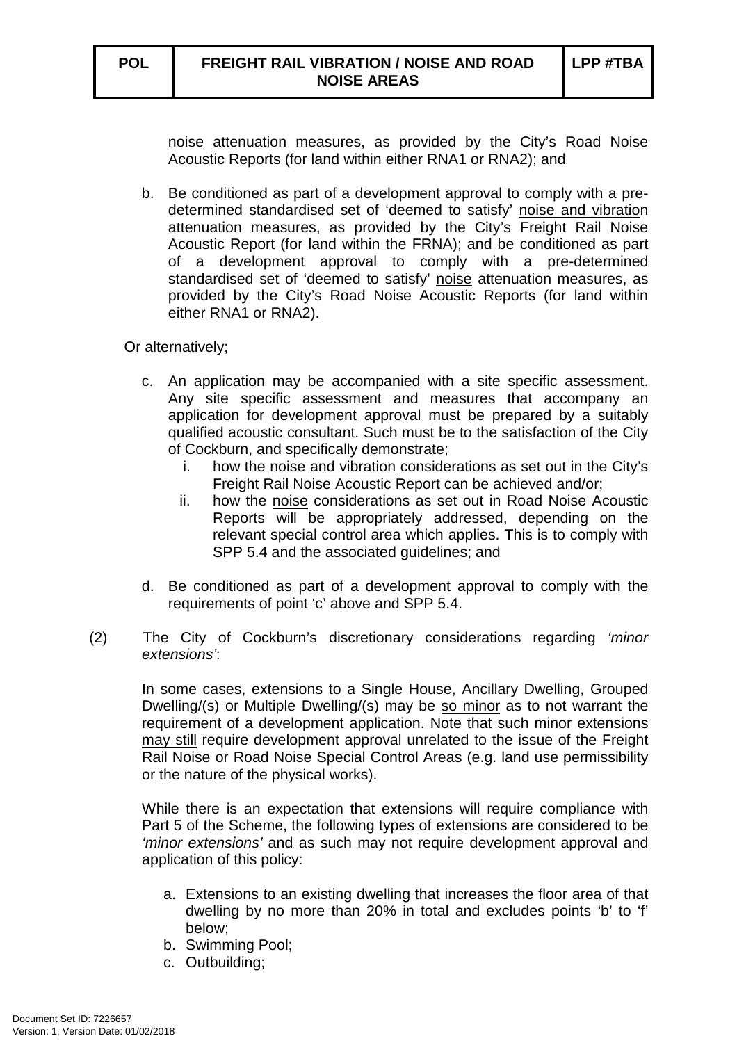noise attenuation measures, as provided by the City's Road Noise Acoustic Reports (for land within either RNA1 or RNA2); and

b. Be conditioned as part of a development approval to comply with a predetermined standardised set of 'deemed to satisfy' noise and vibration attenuation measures, as provided by the City's Freight Rail Noise Acoustic Report (for land within the FRNA); and be conditioned as part of a development approval to comply with a pre-determined standardised set of 'deemed to satisfy' noise attenuation measures, as provided by the City's Road Noise Acoustic Reports (for land within either RNA1 or RNA2).

Or alternatively;

- c. An application may be accompanied with a site specific assessment. Any site specific assessment and measures that accompany an application for development approval must be prepared by a suitably qualified acoustic consultant. Such must be to the satisfaction of the City of Cockburn, and specifically demonstrate;
	- i. how the noise and vibration considerations as set out in the City's Freight Rail Noise Acoustic Report can be achieved and/or;
	- ii. how the noise considerations as set out in Road Noise Acoustic Reports will be appropriately addressed, depending on the relevant special control area which applies. This is to comply with SPP 5.4 and the associated guidelines; and
- d. Be conditioned as part of a development approval to comply with the requirements of point 'c' above and SPP 5.4.
- (2) The City of Cockburn's discretionary considerations regarding 'minor extensions':

In some cases, extensions to a Single House, Ancillary Dwelling, Grouped Dwelling/(s) or Multiple Dwelling/(s) may be so minor as to not warrant the requirement of a development application. Note that such minor extensions may still require development approval unrelated to the issue of the Freight Rail Noise or Road Noise Special Control Areas (e.g. land use permissibility or the nature of the physical works).

While there is an expectation that extensions will require compliance with Part 5 of the Scheme, the following types of extensions are considered to be 'minor extensions' and as such may not require development approval and application of this policy:

- a. Extensions to an existing dwelling that increases the floor area of that dwelling by no more than 20% in total and excludes points 'b' to 'f' below;
- b. Swimming Pool;
- c. Outbuilding;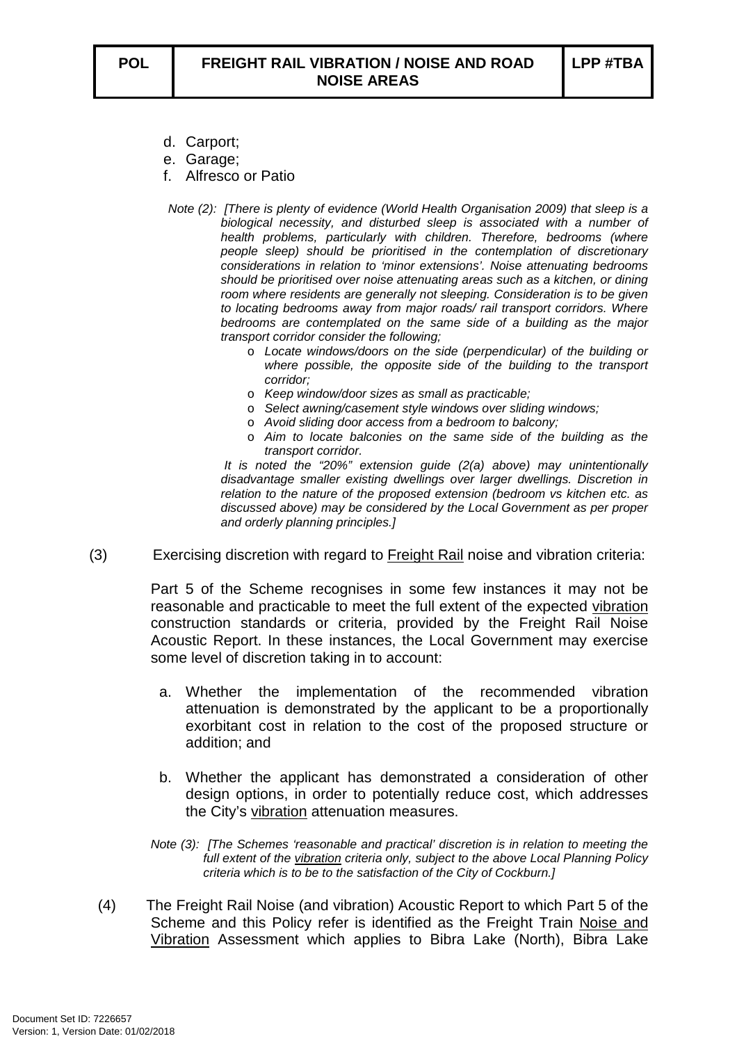- d. Carport;
- e. Garage;
- f. Alfresco or Patio
- Note (2): [There is plenty of evidence (World Health Organisation 2009) that sleep is a biological necessity, and disturbed sleep is associated with a number of health problems, particularly with children. Therefore, bedrooms (where people sleep) should be prioritised in the contemplation of discretionary considerations in relation to 'minor extensions'. Noise attenuating bedrooms should be prioritised over noise attenuating areas such as a kitchen, or dining room where residents are generally not sleeping. Consideration is to be given to locating bedrooms away from major roads/ rail transport corridors. Where bedrooms are contemplated on the same side of a building as the major transport corridor consider the following;
	- o Locate windows/doors on the side (perpendicular) of the building or where possible, the opposite side of the building to the transport corridor;
	- o Keep window/door sizes as small as practicable;
	- o Select awning/casement style windows over sliding windows;
	- o Avoid sliding door access from a bedroom to balcony;
	- o Aim to locate balconies on the same side of the building as the transport corridor.

 It is noted the "20%" extension guide (2(a) above) may unintentionally disadvantage smaller existing dwellings over larger dwellings. Discretion in relation to the nature of the proposed extension (bedroom vs kitchen etc. as discussed above) may be considered by the Local Government as per proper and orderly planning principles.]

(3) Exercising discretion with regard to Freight Rail noise and vibration criteria:

Part 5 of the Scheme recognises in some few instances it may not be reasonable and practicable to meet the full extent of the expected vibration construction standards or criteria, provided by the Freight Rail Noise Acoustic Report. In these instances, the Local Government may exercise some level of discretion taking in to account:

- a. Whether the implementation of the recommended vibration attenuation is demonstrated by the applicant to be a proportionally exorbitant cost in relation to the cost of the proposed structure or addition; and
- b. Whether the applicant has demonstrated a consideration of other design options, in order to potentially reduce cost, which addresses the City's vibration attenuation measures.

Note (3): [The Schemes 'reasonable and practical' discretion is in relation to meeting the full extent of the vibration criteria only, subject to the above Local Planning Policy criteria which is to be to the satisfaction of the City of Cockburn.]

(4) The Freight Rail Noise (and vibration) Acoustic Report to which Part 5 of the Scheme and this Policy refer is identified as the Freight Train Noise and Vibration Assessment which applies to Bibra Lake (North), Bibra Lake